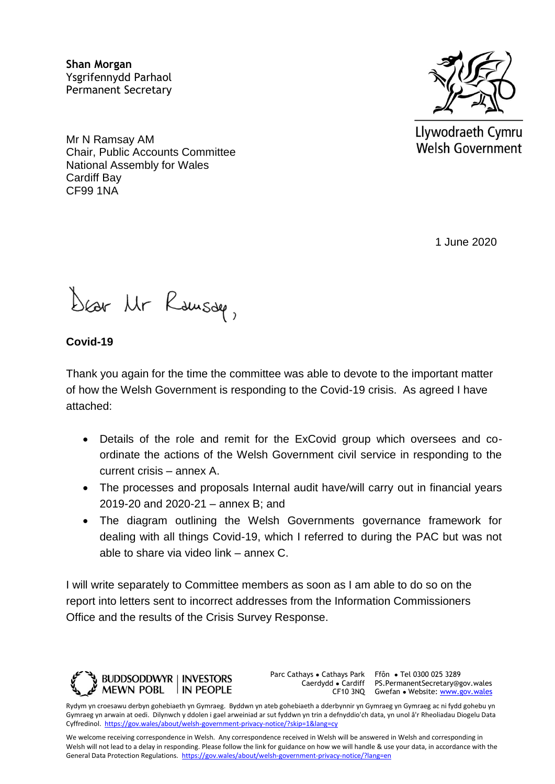**Shan Morgan**  Ysgrifennydd Parhaol Permanent Secretary

Mr N Ramsay AM Chair, Public Accounts Committee National Assembly for Wales Cardiff Bay CF99 1NA



Llywodraeth Cymru **Welsh Government** 

1 June 2020

Dear Mr Rausdee,

**Covid-19**

Thank you again for the time the committee was able to devote to the important matter of how the Welsh Government is responding to the Covid-19 crisis. As agreed I have attached:

- Details of the role and remit for the ExCovid group which oversees and coordinate the actions of the Welsh Government civil service in responding to the current crisis – annex A.
- The processes and proposals Internal audit have/will carry out in financial years 2019-20 and 2020-21 – annex B; and
- The diagram outlining the Welsh Governments governance framework for dealing with all things Covid-19, which I referred to during the PAC but was not able to share via video link – annex C.

I will write separately to Committee members as soon as I am able to do so on the report into letters sent to incorrect addresses from the Information Commissioners Office and the results of the Crisis Survey Response.



Parc Cathays ● Cathays Park

Caerdydd ● Cardiff PS.PermanentSecretary@gov.wales CF10 3NQ Gwefan • Website: [www.gov.wales](http://www.gov.wales/) Ffôn ● Tel 0300 025 3289

Rydym yn croesawu derbyn gohebiaeth yn Gymraeg. Byddwn yn ateb gohebiaeth a dderbynnir yn Gymraeg yn Gymraeg ac ni fydd gohebu yn Gymraeg yn arwain at oedi. Dilynwch y ddolen i gael arweiniad ar sut fyddwn yn trin a defnyddio'ch data, yn unol â'r Rheoliadau Diogelu Data Cyffredinol.<https://gov.wales/about/welsh-government-privacy-notice/?skip=1&lang=cy>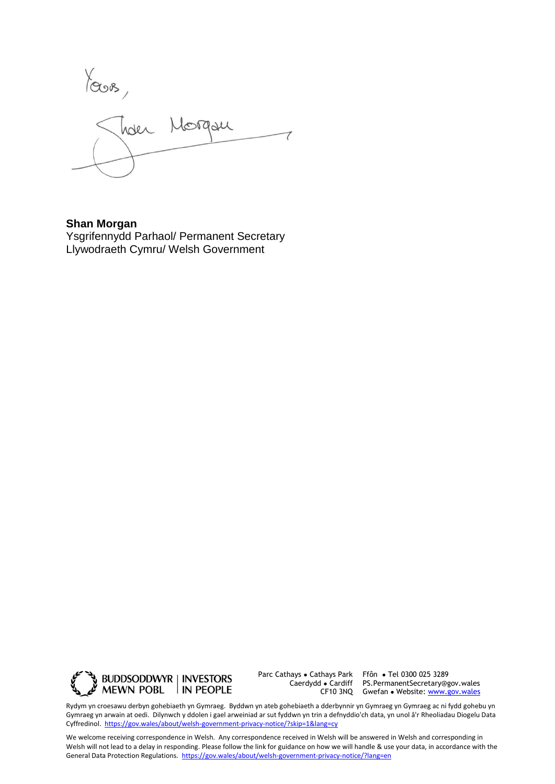Yours,<br>Juden Morgan

**Shan Morgan**  Ysgrifennydd Parhaol/ Permanent Secretary Llywodraeth Cymru/ Welsh Government



Parc Cathays ● Cathays Park Caerdydd ● Cardiff

CF10 3NQ Gwefan • Website: [www.gov.wales](http://www.gov.wales/) Ffôn ● Tel 0300 025 3289 PS.PermanentSecretary@gov.wales

Rydym yn croesawu derbyn gohebiaeth yn Gymraeg. Byddwn yn ateb gohebiaeth a dderbynnir yn Gymraeg yn Gymraeg ac ni fydd gohebu yn Gymraeg yn arwain at oedi. Dilynwch y ddolen i gael arweiniad ar sut fyddwn yn trin a defnyddio'ch data, yn unol â'r Rheoliadau Diogelu Data Cyffredinol.<https://gov.wales/about/welsh-government-privacy-notice/?skip=1&lang=cy>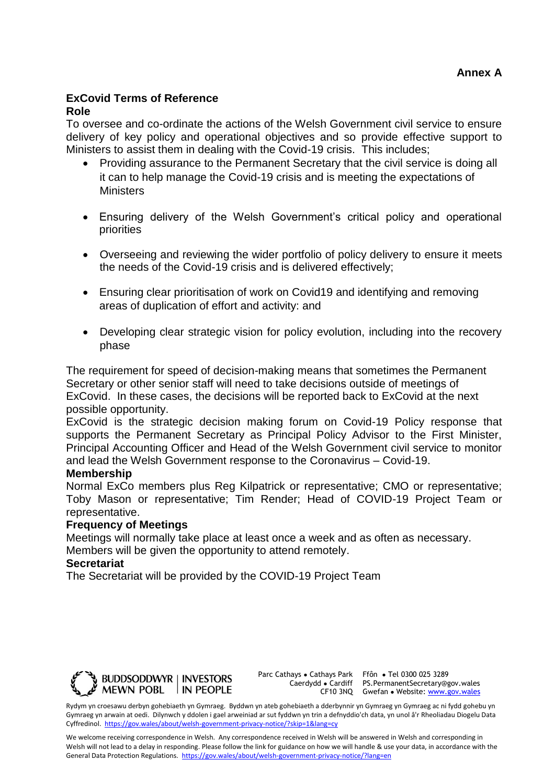#### **ExCovid Terms of Reference Role**

## To oversee and co-ordinate the actions of the Welsh Government civil service to ensure delivery of key policy and operational objectives and so provide effective support to Ministers to assist them in dealing with the Covid-19 crisis. This includes;

- Providing assurance to the Permanent Secretary that the civil service is doing all it can to help manage the Covid-19 crisis and is meeting the expectations of **Ministers**
- Ensuring delivery of the Welsh Government's critical policy and operational priorities
- Overseeing and reviewing the wider portfolio of policy delivery to ensure it meets the needs of the Covid-19 crisis and is delivered effectively;
- Ensuring clear prioritisation of work on Covid19 and identifying and removing areas of duplication of effort and activity: and
- Developing clear strategic vision for policy evolution, including into the recovery phase

The requirement for speed of decision-making means that sometimes the Permanent Secretary or other senior staff will need to take decisions outside of meetings of ExCovid. In these cases, the decisions will be reported back to ExCovid at the next possible opportunity.

ExCovid is the strategic decision making forum on Covid-19 Policy response that supports the Permanent Secretary as Principal Policy Advisor to the First Minister, Principal Accounting Officer and Head of the Welsh Government civil service to monitor and lead the Welsh Government response to the Coronavirus – Covid-19.

# **Membership**

Normal ExCo members plus Reg Kilpatrick or representative; CMO or representative; Toby Mason or representative; Tim Render; Head of COVID-19 Project Team or representative.

## **Frequency of Meetings**

Meetings will normally take place at least once a week and as often as necessary. Members will be given the opportunity to attend remotely.

## **Secretariat**

The Secretariat will be provided by the COVID-19 Project Team



Parc Cathays ● Cathays Park Caerdydd ● Cardiff

CF10 3NQ Gwefan • Website: [www.gov.wales](http://www.gov.wales/) Ffôn ● Tel 0300 025 3289 PS.PermanentSecretary@gov.wales

Rydym yn croesawu derbyn gohebiaeth yn Gymraeg. Byddwn yn ateb gohebiaeth a dderbynnir yn Gymraeg yn Gymraeg ac ni fydd gohebu yn Gymraeg yn arwain at oedi. Dilynwch y ddolen i gael arweiniad ar sut fyddwn yn trin a defnyddio'ch data, yn unol â'r Rheoliadau Diogelu Data Cyffredinol.<https://gov.wales/about/welsh-government-privacy-notice/?skip=1&lang=cy>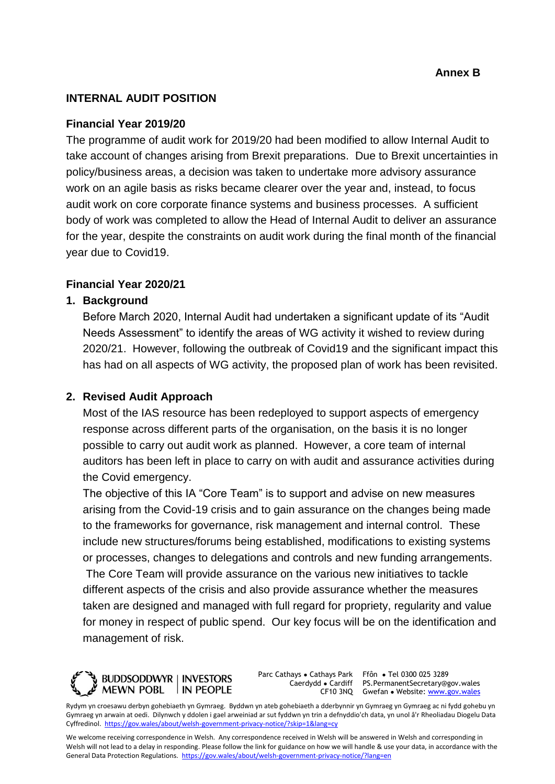## **INTERNAL AUDIT POSITION**

### **Financial Year 2019/20**

The programme of audit work for 2019/20 had been modified to allow Internal Audit to take account of changes arising from Brexit preparations. Due to Brexit uncertainties in policy/business areas, a decision was taken to undertake more advisory assurance work on an agile basis as risks became clearer over the year and, instead, to focus audit work on core corporate finance systems and business processes. A sufficient body of work was completed to allow the Head of Internal Audit to deliver an assurance for the year, despite the constraints on audit work during the final month of the financial year due to Covid19.

## **Financial Year 2020/21**

#### **1. Background**

Before March 2020, Internal Audit had undertaken a significant update of its "Audit Needs Assessment" to identify the areas of WG activity it wished to review during 2020/21. However, following the outbreak of Covid19 and the significant impact this has had on all aspects of WG activity, the proposed plan of work has been revisited.

### **2. Revised Audit Approach**

Most of the IAS resource has been redeployed to support aspects of emergency response across different parts of the organisation, on the basis it is no longer possible to carry out audit work as planned. However, a core team of internal auditors has been left in place to carry on with audit and assurance activities during the Covid emergency.

The objective of this IA "Core Team" is to support and advise on new measures arising from the Covid-19 crisis and to gain assurance on the changes being made to the frameworks for governance, risk management and internal control. These include new structures/forums being established, modifications to existing systems or processes, changes to delegations and controls and new funding arrangements. The Core Team will provide assurance on the various new initiatives to tackle different aspects of the crisis and also provide assurance whether the measures taken are designed and managed with full regard for propriety, regularity and value for money in respect of public spend. Our key focus will be on the identification and management of risk.



Parc Cathays ● Cathays Park Caerdydd ● Cardiff

CF10 3NQ Gwefan • Website: [www.gov.wales](http://www.gov.wales/) Ffôn ● Tel 0300 025 3289 PS.PermanentSecretary@gov.wales

Rydym yn croesawu derbyn gohebiaeth yn Gymraeg. Byddwn yn ateb gohebiaeth a dderbynnir yn Gymraeg yn Gymraeg ac ni fydd gohebu yn Gymraeg yn arwain at oedi. Dilynwch y ddolen i gael arweiniad ar sut fyddwn yn trin a defnyddio'ch data, yn unol â'r Rheoliadau Diogelu Data Cyffredinol.<https://gov.wales/about/welsh-government-privacy-notice/?skip=1&lang=cy>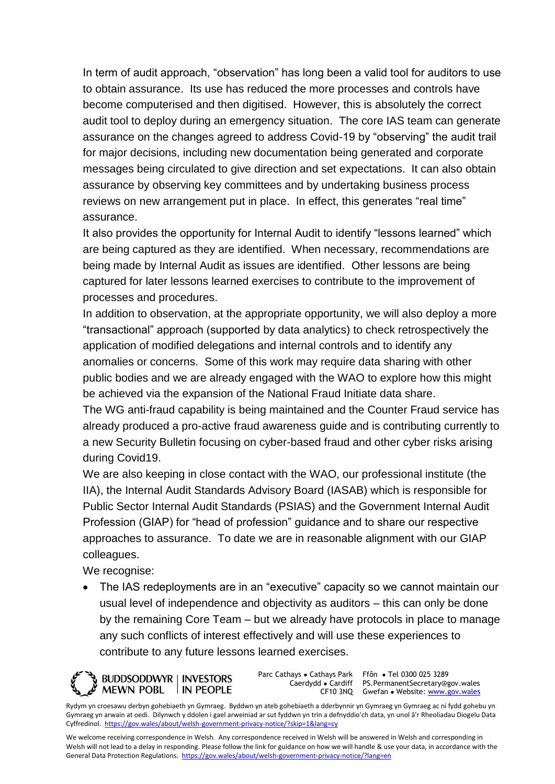In term of audit approach, "observation" has long been a valid tool for auditors to use to obtain assurance. Its use has reduced the more processes and controls have become computerised and then digitised. However, this is absolutely the correct audit tool to deploy during an emergency situation. The core IAS team can generate assurance on the changes agreed to address Covid-19 by "observing" the audit trail for major decisions, including new documentation being generated and corporate messages being circulated to give direction and set expectations. It can also obtain assurance by observing key committees and by undertaking business process reviews on new arrangement put in place. In effect, this generates "real time" assurance.

It also provides the opportunity for Internal Audit to identify "lessons learned" which are being captured as they are identified. When necessary, recommendations are being made by Internal Audit as issues are identified. Other lessons are being captured for later lessons learned exercises to contribute to the improvement of processes and procedures.

In addition to observation, at the appropriate opportunity, we will also deploy a more "transactional" approach (supported by data analytics) to check retrospectively the application of modified delegations and internal controls and to identify any anomalies or concerns. Some of this work may require data sharing with other public bodies and we are already engaged with the WAO to explore how this might be achieved via the expansion of the National Fraud Initiate data share.

The WG anti-fraud capability is being maintained and the Counter Fraud service has already produced a pro-active fraud awareness guide and is contributing currently to a new Security Bulletin focusing on cyber-based fraud and other cyber risks arising during Covid19.

We are also keeping in close contact with the WAO, our professional institute (the IIA), the Internal Audit Standards Advisory Board (IASAB) which is responsible for Public Sector Internal Audit Standards (PSIAS) and the Government Internal Audit Profession (GIAP) for "head of profession" guidance and to share our respective approaches to assurance. To date we are in reasonable alignment with our GIAP colleagues.

We recognise:

• The IAS redeployments are in an "executive" capacity so we cannot maintain our usual level of independence and objectivity as auditors – this can only be done by the remaining Core Team – but we already have protocols in place to manage any such conflicts of interest effectively and will use these experiences to contribute to any future lessons learned exercises.

**BUDDSODDWYR | INVESTORS MEWN POBL** IN PEOPLE

Parc Cathays ● Cathays Park Caerdydd ● Cardiff

CF10 3NQ Gwefan • Website: [www.gov.wales](http://www.gov.wales/) Ffôn ● Tel 0300 025 3289 PS.PermanentSecretary@gov.wales

Rydym yn croesawu derbyn gohebiaeth yn Gymraeg. Byddwn yn ateb gohebiaeth a dderbynnir yn Gymraeg yn Gymraeg ac ni fydd gohebu yn Gymraeg yn arwain at oedi. Dilynwch y ddolen i gael arweiniad ar sut fyddwn yn trin a defnyddio'ch data, yn unol â'r Rheoliadau Diogelu Data Cyffredinol.<https://gov.wales/about/welsh-government-privacy-notice/?skip=1&lang=cy>